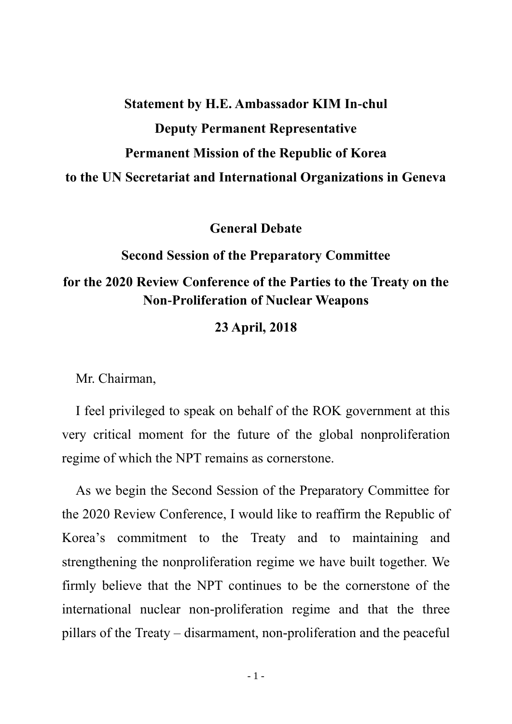## **Statement by H.E. Ambassador KIM In-chul Deputy Permanent Representative Permanent Mission of the Republic of Korea to the UN Secretariat and International Organizations in Geneva**

**General Debate**

## **Second Session of the Preparatory Committee for the 2020 Review Conference of the Parties to the Treaty on the Non-Proliferation of Nuclear Weapons**

## **23 April, 2018**

Mr. Chairman,

I feel privileged to speak on behalf of the ROK government at this very critical moment for the future of the global nonproliferation regime of which the NPT remains as cornerstone.

As we begin the Second Session of the Preparatory Committee for the 2020 Review Conference, I would like to reaffirm the Republic of Korea's commitment to the Treaty and to maintaining and strengthening the nonproliferation regime we have built together. We firmly believe that the NPT continues to be the cornerstone of the international nuclear non-proliferation regime and that the three pillars of the Treaty – disarmament, non-proliferation and the peaceful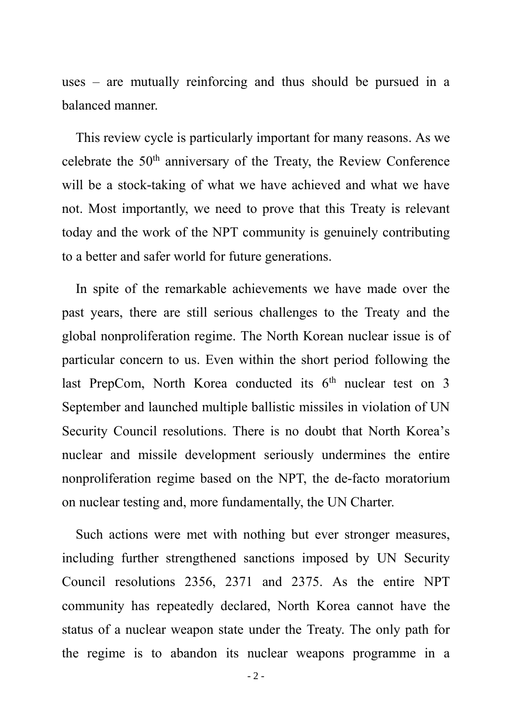uses – are mutually reinforcing and thus should be pursued in a balanced manner.

This review cycle is particularly important for many reasons. As we celebrate the  $50<sup>th</sup>$  anniversary of the Treaty, the Review Conference will be a stock-taking of what we have achieved and what we have not. Most importantly, we need to prove that this Treaty is relevant today and the work of the NPT community is genuinely contributing to a better and safer world for future generations.

In spite of the remarkable achievements we have made over the past years, there are still serious challenges to the Treaty and the global nonproliferation regime. The North Korean nuclear issue is of particular concern to us. Even within the short period following the last PrepCom, North Korea conducted its  $6<sup>th</sup>$  nuclear test on 3 September and launched multiple ballistic missiles in violation of UN Security Council resolutions. There is no doubt that North Korea's nuclear and missile development seriously undermines the entire nonproliferation regime based on the NPT, the de-facto moratorium on nuclear testing and, more fundamentally, the UN Charter.

Such actions were met with nothing but ever stronger measures, including further strengthened sanctions imposed by UN Security Council resolutions 2356, 2371 and 2375. As the entire NPT community has repeatedly declared, North Korea cannot have the status of a nuclear weapon state under the Treaty. The only path for the regime is to abandon its nuclear weapons programme in a

- 2 -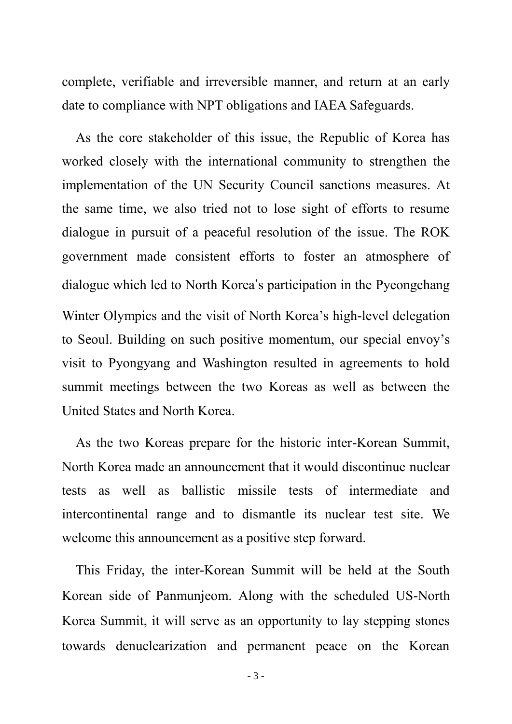complete, verifiable and irreversible manner, and return at an early date to compliance with NPT obligations and IAEA Safeguards.

As the core stakeholder of this issue, the Republic of Korea has worked closely with the international community to strengthen the implementation of the UN Security Council sanctions measures. At the same time, we also tried not to lose sight of efforts to resume dialogue in pursuit of a peaceful resolution of the issue. The ROK government made consistent efforts to foster an atmosphere of dialogue which led to North Korea's participation in the Pyeongchang Winter Olympics and the visit of North Korea's high-level delegation to Seoul. Building on such positive momentum, our special envoy's visit to Pyongyang and Washington resulted in agreements to hold summit meetings between the two Koreas as well as between the United States and North Korea.

As the two Koreas prepare for the historic inter-Korean Summit, North Korea made an announcement that it would discontinue nuclear tests as well as ballistic missile tests of intermediate and intercontinental range and to dismantle its nuclear test site. We welcome this announcement as a positive step forward.

This Friday, the inter-Korean Summit will be held at the South Korean side of Panmunjeom. Along with the scheduled US-North Korea Summit, it will serve as an opportunity to lay stepping stones towards denuclearization and permanent peace on the Korean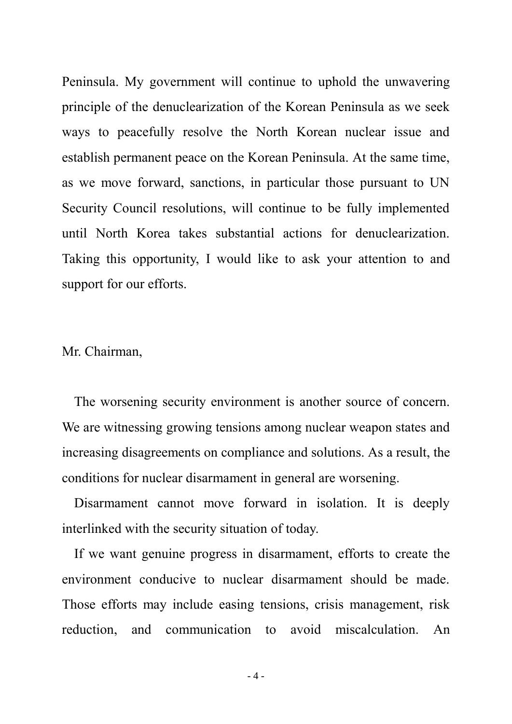Peninsula. My government will continue to uphold the unwavering principle of the denuclearization of the Korean Peninsula as we seek ways to peacefully resolve the North Korean nuclear issue and establish permanent peace on the Korean Peninsula. At the same time, as we move forward, sanctions, in particular those pursuant to UN Security Council resolutions, will continue to be fully implemented until North Korea takes substantial actions for denuclearization. Taking this opportunity, I would like to ask your attention to and support for our efforts.

Mr. Chairman,

The worsening security environment is another source of concern. We are witnessing growing tensions among nuclear weapon states and increasing disagreements on compliance and solutions. As a result, the conditions for nuclear disarmament in general are worsening.

Disarmament cannot move forward in isolation. It is deeply interlinked with the security situation of today.

If we want genuine progress in disarmament, efforts to create the environment conducive to nuclear disarmament should be made. Those efforts may include easing tensions, crisis management, risk reduction, and communication to avoid miscalculation. An

 $-4-$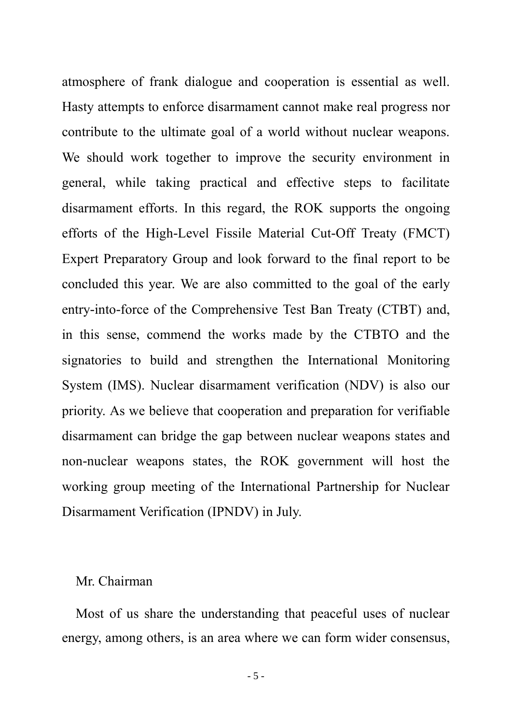atmosphere of frank dialogue and cooperation is essential as well. Hasty attempts to enforce disarmament cannot make real progress nor contribute to the ultimate goal of a world without nuclear weapons. We should work together to improve the security environment in general, while taking practical and effective steps to facilitate disarmament efforts. In this regard, the ROK supports the ongoing efforts of the High-Level Fissile Material Cut-Off Treaty (FMCT) Expert Preparatory Group and look forward to the final report to be concluded this year. We are also committed to the goal of the early entry-into-force of the Comprehensive Test Ban Treaty (CTBT) and, in this sense, commend the works made by the CTBTO and the signatories to build and strengthen the International Monitoring System (IMS). Nuclear disarmament verification (NDV) is also our priority. As we believe that cooperation and preparation for verifiable disarmament can bridge the gap between nuclear weapons states and non-nuclear weapons states, the ROK government will host the working group meeting of the International Partnership for Nuclear Disarmament Verification (IPNDV) in July.

## Mr. Chairman

Most of us share the understanding that peaceful uses of nuclear energy, among others, is an area where we can form wider consensus,

- 5 -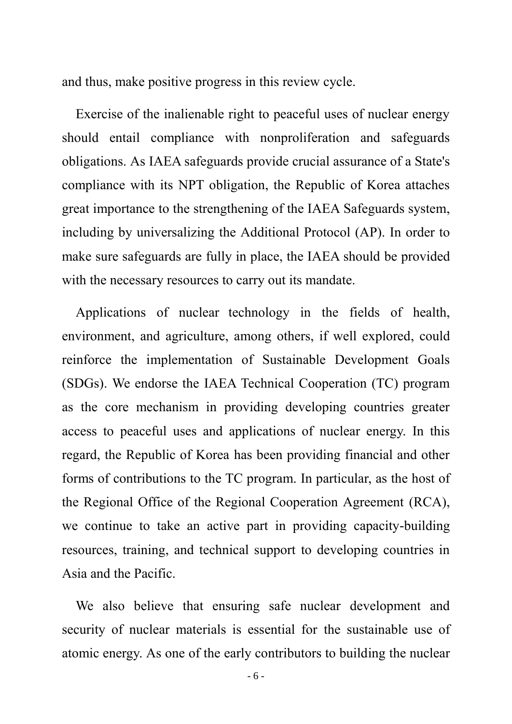and thus, make positive progress in this review cycle.

Exercise of the inalienable right to peaceful uses of nuclear energy should entail compliance with nonproliferation and safeguards obligations. As IAEA safeguards provide crucial assurance of a State's compliance with its NPT obligation, the Republic of Korea attaches great importance to the strengthening of the IAEA Safeguards system, including by universalizing the Additional Protocol (AP). In order to make sure safeguards are fully in place, the IAEA should be provided with the necessary resources to carry out its mandate.

Applications of nuclear technology in the fields of health, environment, and agriculture, among others, if well explored, could reinforce the implementation of Sustainable Development Goals (SDGs). We endorse the IAEA Technical Cooperation (TC) program as the core mechanism in providing developing countries greater access to peaceful uses and applications of nuclear energy. In this regard, the Republic of Korea has been providing financial and other forms of contributions to the TC program. In particular, as the host of the Regional Office of the Regional Cooperation Agreement (RCA), we continue to take an active part in providing capacity-building resources, training, and technical support to developing countries in Asia and the Pacific.

We also believe that ensuring safe nuclear development and security of nuclear materials is essential for the sustainable use of atomic energy. As one of the early contributors to building the nuclear

- 6 -